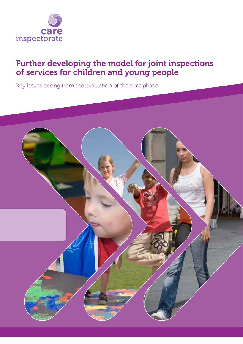

### Further developing the model for joint inspections of services for children and young people

Key issues arising from the evaluation of the pilot phase

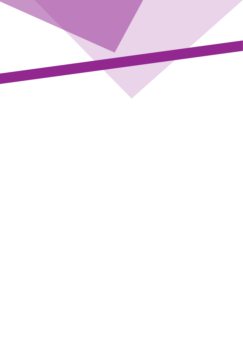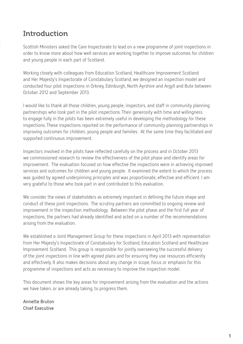### Introduction

Scottish Ministers asked the Care Inspectorate to lead on a new programme of joint inspections in order to know more about how well services are working together to improve outcomes for children and young people in each part of Scotland.

Working closely with colleagues from Education Scotland, Healthcare Improvement Scotland and Her Majesty's Inspectorate of Constabulary Scotland, we designed an inspection model and conducted four pilot inspections in Orkney, Edinburgh, North Ayrshire and Argyll and Bute between October 2012 and September 2013.

I would like to thank all those children, young people, inspectors, and staff in community planning partnerships who took part in the pilot inspections. Their generosity with time and willingness to engage fully in the pilots has been extremely useful in developing the methodology for these inspections. These inspections reported on the performance of community planning partnerships in improving outcomes for children, young people and families. At the same time they facilitated and supported continuous improvement.

Inspectors involved in the pilots have reflected carefully on the process and in October 2013 we commissioned research to review the effectiveness of the pilot phase and identify areas for improvement. The evaluation focused on how effective the inspections were in achieving improved services and outcomes for children and young people. It examined the extent to which the process was guided by agreed underpinning principles and was proportionate, effective and efficient. I am very grateful to those who took part in and contributed to this evaluation.

We consider the views of stakeholders as extremely important in defining the future shape and conduct of these joint inspections. The scrutiny partners are committed to ongoing review and improvement in the inspection methodology. Between the pilot phase and the first full year of inspections, the partners had already identified and acted on a number of the recommendations arising from the evaluation.

We established a Joint Management Group for these inspections in April 2013 with representation from Her Majesty's Inspectorate of Constabulary for Scotland, Education Scotland and Healthcare Improvement Scotland. This group is responsible for jointly overseeing the successful delivery of the joint inspections in line with agreed plans and for ensuring they use resources efficiently and effectively. It also makes decisions about any change in scope, focus or emphasis for this programme of inspections and acts as necessary to improve the inspection model.

This document shows the key areas for improvement arising from the evaluation and the actions we have taken, or are already taking, to progress them.

**Annette Bruton Chief Executive**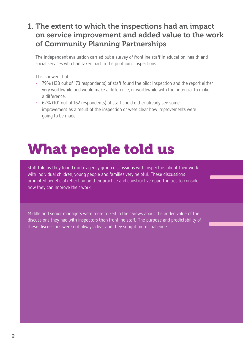### 1. The extent to which the inspections had an impact on service improvement and added value to the work of Community Planning Partnerships

The independent evaluation carried out a survey of frontline staff in education, health and social services who had taken part in the pilot joint inspections.

This showed that:

- 79% (138 out of 173 respondents) of staff found the pilot inspection and the report either very worthwhile and would make a difference, or worthwhile with the potential to make a difference.
- 62% (101 out of 162 respondents) of staff could either already see some improvement as a result of the inspection or were clear how improvements were going to be made.

# What people told us

Staff told us they found multi-agency group discussions with inspectors about their work with individual children, young people and families very helpful. These discussions promoted beneficial reflection on their practice and constructive opportunities to consider how they can improve their work.

Middle and senior managers were more mixed in their views about the added value of the discussions they had with inspectors than frontline staff. The purpose and predictability of these discussions were not always clear and they sought more challenge.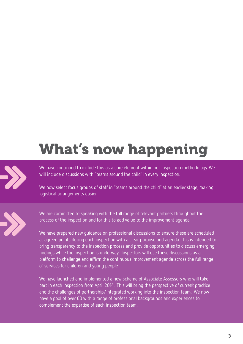# What's now happening

We have continued to include this as a core element within our inspection methodology. We will include discussions with "teams around the child" in every inspection.

We now select focus groups of staff in "teams around the child" at an earlier stage, making logistical arrangements easier.



We are committed to speaking with the full range of relevant partners throughout the process of the inspection and for this to add value to the improvement agenda.

We have prepared new guidance on professional discussions to ensure these are scheduled at agreed points during each inspection with a clear purpose and agenda. This is intended to bring transparency to the inspection process and provide opportunities to discuss emerging findings while the inspection is underway. Inspectors will use these discussions as a platform to challenge and affirm the continuous improvement agenda across the full range of services for children and young people

We have launched and implemented a new scheme of Associate Assessors who will take part in each inspection from April 2014. This will bring the perspective of current practice and the challenges of partnership/integrated working into the inspection team. We now have a pool of over 60 with a range of professional backgrounds and experiences to complement the expertise of each inspection team.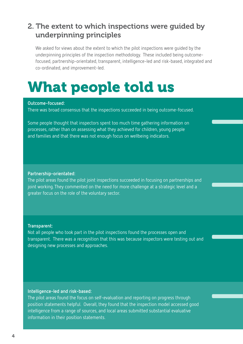### 2. The extent to which inspections were guided by underpinning principles

We asked for views about the extent to which the pilot inspections were guided by the underpinning principles of the inspection methodology. These included being outcomefocused, partnership-orientated, transparent, intelligence-led and risk-based, integrated and co-ordinated, and improvement-led.

## What people told us

#### **Outcome-focused:**

There was broad consensus that the inspections succeeded in being outcome-focused.

Some people thought that inspectors spent too much time gathering information on processes, rather than on assessing what they achieved for children, young people and families and that there was not enough focus on wellbeing indicators.

#### **Partnership-orientated:**

The pilot areas found the pilot joint inspections succeeded in focusing on partnerships and joint working. They commented on the need for more challenge at a strategic level and a greater focus on the role of the voluntary sector.

#### **Transparent:**

Not all people who took part in the pilot inspections found the processes open and transparent. There was a recognition that this was because inspectors were testing out and designing new processes and approaches.

#### **Intelligence-led and risk-based:**

The pilot areas found the focus on self-evaluation and reporting on progress through position statements helpful. Overall, they found that the inspection model accessed good intelligence from a range of sources, and local areas submitted substantial evaluative information in their position statements.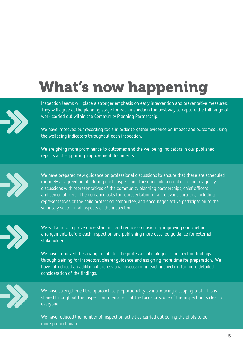# What's now happening

Inspection teams will place a stronger emphasis on early intervention and preventative measures. They will agree at the planning stage for each inspection the best way to capture the full range of work carried out within the Community Planning Partnership.

We have improved our recording tools in order to gather evidence on impact and outcomes using the wellbeing indicators throughout each inspection.

We are giving more prominence to outcomes and the wellbeing indicators in our published reports and supporting improvement documents.

We have prepared new guidance on professional discussions to ensure that these are scheduled routinely at agreed points during each inspection. These include a number of multi-agency discussions with representatives of the community planning partnerships, chief officers and senior officers. The guidance asks for representation of all relevant partners, including representatives of the child protection committee, and encourages active participation of the voluntary sector in all aspects of the inspection.

We will aim to improve understanding and reduce confusion by improving our briefing arrangements before each inspection and publishing more detailed guidance for external stakeholders.

We have improved the arrangements for the professional dialogue on inspection findings through training for inspectors, clearer guidance and assigning more time for preparation. We have introduced an additional professional discussion in each inspection for more detailed consideration of the findings.



We have strengthened the approach to proportionality by introducing a scoping tool. This is shared throughout the inspection to ensure that the focus or scope of the inspection is clear to everyone.

We have reduced the number of inspection activities carried out during the pilots to be more proportionate.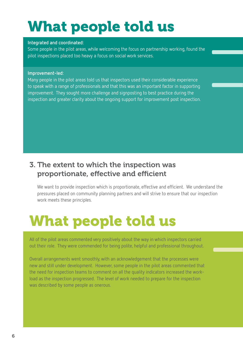## What people told us

#### **Integrated and coordinated:**

Some people in the pilot areas, while welcoming the focus on partnership working, found the pilot inspections placed too heavy a focus on social work services.

#### **Improvement-led:**

Many people in the pilot areas told us that inspectors used their considerable experience to speak with a range of professionals and that this was an important factor in supporting improvement. They sought more challenge and signposting to best practice during the inspection and greater clarity about the ongoing support for improvement post inspection.

### 3. The extent to which the inspection was proportionate, effective and efficient

We want to provide inspection which is proportionate, effective and efficient. We understand the pressures placed on community planning partners and will strive to ensure that our inspection work meets these principles.

## What people told us

All of the pilot areas commented very positively about the way in which inspectors carried out their role. They were commended for being polite, helpful and professional throughout.

Overall arrangements went smoothly, with an acknowledgement that the processes were new and still under development. However, some people in the pilot areas commented that the need for inspection teams to comment on all the quality indicators increased the workload as the inspection progressed. The level of work needed to prepare for the inspection was described by some people as onerous.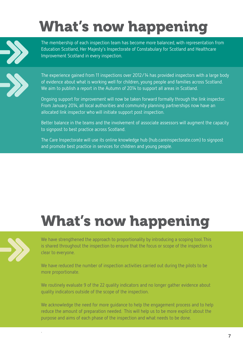# What's now happening



The membership of each inspection team has become more balanced, with representation from Education Scotland, Her Majesty's Inspectorate of Constabulary for Scotland and Healthcare Improvement Scotland in every inspection.

The experience gained from 11 inspections over 2012/14 has provided inspectors with a large body of evidence about what is working well for children, young people and families across Scotland. We aim to publish a report in the Autumn of 2014 to support all areas in Scotland.

Ongoing support for improvement will now be taken forward formally through the link inspector. From January 2014, all local authorities and community planning partnerships now have an allocated link inspector who will initiate support post inspection.

Better balance in the teams and the involvement of associate assessors will augment the capacity to signpost to best practice across Scotland.

The Care Inspectorate will use its online knowledge hub (hub.careinspectorate.com) to signpost and promote best practice in services for children and young people.

## What's now happening



.

We have strengthened the approach to proportionality by introducing a scoping tool. This is shared throughout the inspection to ensure that the focus or scope of the inspection is clear to everyone.

We have reduced the number of inspection activities carried out during the pilots to be more proportionate.

We routinely evaluate 9 of the 22 quality indicators and no longer gather evidence about quality indicators outside of the scope of the inspection.

We acknowledge the need for more guidance to help the engagement process and to help reduce the amount of preparation needed. This will help us to be more explicit about the purpose and aims of each phase of the inspection and what needs to be done.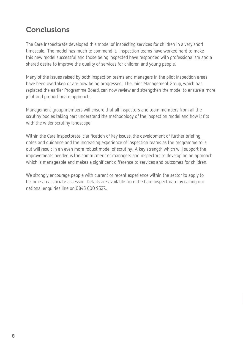### **Conclusions**

The Care Inspectorate developed this model of inspecting services for children in a very short timescale. The model has much to commend it. Inspection teams have worked hard to make this new model successful and those being inspected have responded with professionalism and a shared desire to improve the quality of services for children and young people.

Many of the issues raised by both inspection teams and managers in the pilot inspection areas have been overtaken or are now being progressed. The Joint Management Group, which has replaced the earlier Programme Board, can now review and strengthen the model to ensure a more joint and proportionate approach.

Management group members will ensure that all inspectors and team members from all the scrutiny bodies taking part understand the methodology of the inspection model and how it fits with the wider scrutiny landscape.

Within the Care Inspectorate, clarification of key issues, the development of further briefing notes and guidance and the increasing experience of inspection teams as the programme rolls out will result in an even more robust model of scrutiny. A key strength which will support the improvements needed is the commitment of managers and inspectors to developing an approach which is manageable and makes a significant difference to services and outcomes for children.

We strongly encourage people with current or recent experience within the sector to apply to become an associate assessor. Details are available from the Care Inspectorate by calling our national enquiries line on 0845 600 9527..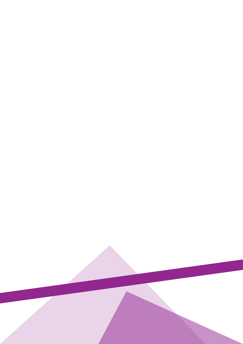